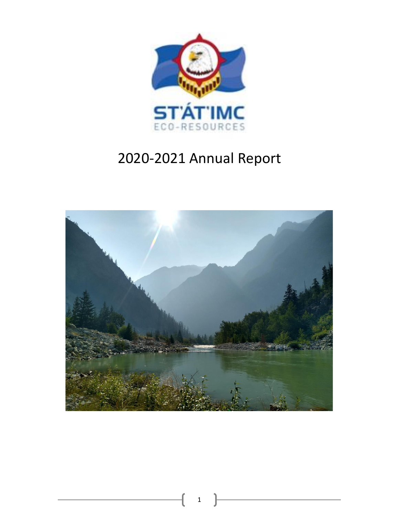

# 2020-2021 Annual Report



1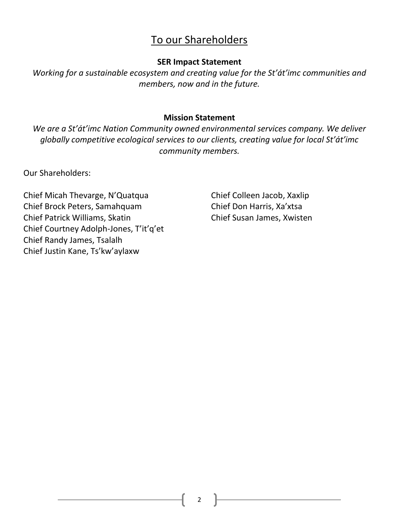# To our Shareholders

#### **SER Impact Statement**

*Working for a sustainable ecosystem and creating value for the St'át'imc communities and members, now and in the future.* 

#### **Mission Statement**

*We are a St'át'imc Nation Community owned environmental services company. We deliver globally competitive ecological services to our clients, creating value for local St'át'imc community members.*

Our Shareholders:

Chief Micah Thevarge, N'Quatqua Chief Colleen Jacob, Xaxlip Chief Brock Peters, Samahquam Chief Don Harris, Xa'xtsa Chief Patrick Williams, Skatin Chief Susan James, Xwisten Chief Courtney Adolph-Jones, T'it'q'et Chief Randy James, Tsalalh Chief Justin Kane, Ts'kw'aylaxw

2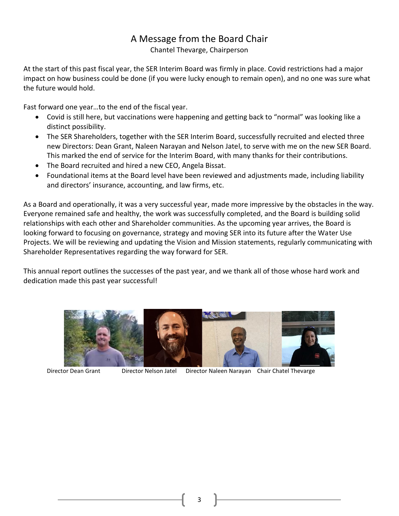## A Message from the Board Chair

Chantel Thevarge, Chairperson

At the start of this past fiscal year, the SER Interim Board was firmly in place. Covid restrictions had a major impact on how business could be done (if you were lucky enough to remain open), and no one was sure what the future would hold.

Fast forward one year…to the end of the fiscal year.

- Covid is still here, but vaccinations were happening and getting back to "normal" was looking like a distinct possibility.
- The SER Shareholders, together with the SER Interim Board, successfully recruited and elected three new Directors: Dean Grant, Naleen Narayan and Nelson Jatel, to serve with me on the new SER Board. This marked the end of service for the Interim Board, with many thanks for their contributions.
- The Board recruited and hired a new CEO, Angela Bissat.
- Foundational items at the Board level have been reviewed and adjustments made, including liability and directors' insurance, accounting, and law firms, etc.

As a Board and operationally, it was a very successful year, made more impressive by the obstacles in the way. Everyone remained safe and healthy, the work was successfully completed, and the Board is building solid relationships with each other and Shareholder communities. As the upcoming year arrives, the Board is looking forward to focusing on governance, strategy and moving SER into its future after the Water Use Projects. We will be reviewing and updating the Vision and Mission statements, regularly communicating with Shareholder Representatives regarding the way forward for SER.

This annual report outlines the successes of the past year, and we thank all of those whose hard work and dedication made this past year successful!



Director Dean Grant Director Nelson Jatel Director Naleen Narayan Chair Chatel Thevarge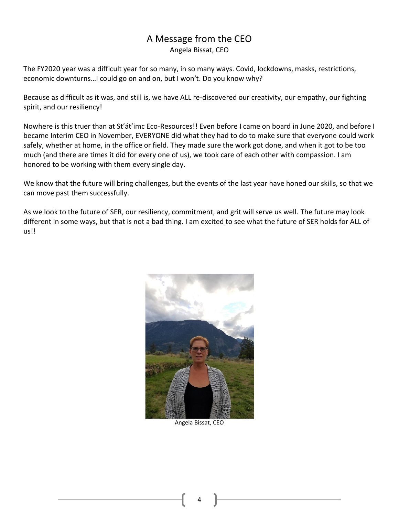#### A Message from the CEO Angela Bissat, CEO

The FY2020 year was a difficult year for so many, in so many ways. Covid, lockdowns, masks, restrictions, economic downturns…I could go on and on, but I won't. Do you know why?

Because as difficult as it was, and still is, we have ALL re-discovered our creativity, our empathy, our fighting spirit, and our resiliency!

Nowhere is this truer than at St'át'imc Eco-Resources!! Even before I came on board in June 2020, and before I became Interim CEO in November, EVERYONE did what they had to do to make sure that everyone could work safely, whether at home, in the office or field. They made sure the work got done, and when it got to be too much (and there are times it did for every one of us), we took care of each other with compassion. I am honored to be working with them every single day.

We know that the future will bring challenges, but the events of the last year have honed our skills, so that we can move past them successfully.

As we look to the future of SER, our resiliency, commitment, and grit will serve us well. The future may look different in some ways, but that is not a bad thing. I am excited to see what the future of SER holds for ALL of us!!



Angela Bissat, CEO

4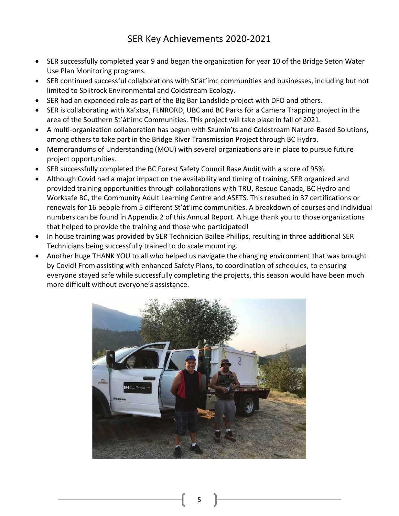### SER Key Achievements 2020-2021

- SER successfully completed year 9 and began the organization for year 10 of the Bridge Seton Water Use Plan Monitoring programs.
- SER continued successful collaborations with St'át'imc communities and businesses, including but not limited to Splitrock Environmental and Coldstream Ecology.
- SER had an expanded role as part of the Big Bar Landslide project with DFO and others.
- SER is collaborating with Xa'xtsa, FLNRORD, UBC and BC Parks for a Camera Trapping project in the area of the Southern St'át'imc Communities. This project will take place in fall of 2021.
- A multi-organization collaboration has begun with Szumin'ts and Coldstream Nature-Based Solutions, among others to take part in the Bridge River Transmission Project through BC Hydro.
- Memorandums of Understanding (MOU) with several organizations are in place to pursue future project opportunities.
- SER successfully completed the BC Forest Safety Council Base Audit with a score of 95%.
- Although Covid had a major impact on the availability and timing of training, SER organized and provided training opportunities through collaborations with TRU, Rescue Canada, BC Hydro and Worksafe BC, the Community Adult Learning Centre and ASETS. This resulted in 37 certifications or renewals for 16 people from 5 different St'át'imc communities. A breakdown of courses and individual numbers can be found in Appendix 2 of this Annual Report. A huge thank you to those organizations that helped to provide the training and those who participated!
- In house training was provided by SER Technician Bailee Phillips, resulting in three additional SER Technicians being successfully trained to do scale mounting.
- Another huge THANK YOU to all who helped us navigate the changing environment that was brought by Covid! From assisting with enhanced Safety Plans, to coordination of schedules, to ensuring everyone stayed safe while successfully completing the projects, this season would have been much more difficult without everyone's assistance.

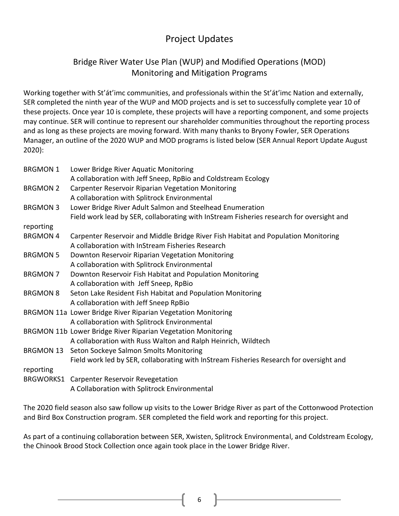# Project Updates

#### Bridge River Water Use Plan (WUP) and Modified Operations (MOD) Monitoring and Mitigation Programs

Working together with St'át'imc communities, and professionals within the St'át'imc Nation and externally, SER completed the ninth year of the WUP and MOD projects and is set to successfully complete year 10 of these projects. Once year 10 is complete, these projects will have a reporting component, and some projects may continue. SER will continue to represent our shareholder communities throughout the reporting process and as long as these projects are moving forward. With many thanks to Bryony Fowler, SER Operations Manager, an outline of the 2020 WUP and MOD programs is listed below (SER Annual Report Update August 2020):

| <b>BRGMON 1</b> | Lower Bridge River Aquatic Monitoring                                                    |
|-----------------|------------------------------------------------------------------------------------------|
|                 | A collaboration with Jeff Sneep, RpBio and Coldstream Ecology                            |
| <b>BRGMON 2</b> | <b>Carpenter Reservoir Riparian Vegetation Monitoring</b>                                |
|                 | A collaboration with Splitrock Environmental                                             |
| <b>BRGMON 3</b> | Lower Bridge River Adult Salmon and Steelhead Enumeration                                |
|                 | Field work lead by SER, collaborating with InStream Fisheries research for oversight and |
| reporting       |                                                                                          |
| <b>BRGMON4</b>  | Carpenter Reservoir and Middle Bridge River Fish Habitat and Population Monitoring       |
|                 | A collaboration with InStream Fisheries Research                                         |
| <b>BRGMON 5</b> | Downton Reservoir Riparian Vegetation Monitoring                                         |
|                 | A collaboration with Splitrock Environmental                                             |
| <b>BRGMON 7</b> | Downton Reservoir Fish Habitat and Population Monitoring                                 |
|                 | A collaboration with Jeff Sneep, RpBio                                                   |
| <b>BRGMON 8</b> | Seton Lake Resident Fish Habitat and Population Monitoring                               |
|                 | A collaboration with Jeff Sneep RpBio                                                    |
|                 | BRGMON 11a Lower Bridge River Riparian Vegetation Monitoring                             |
|                 | A collaboration with Splitrock Environmental                                             |
|                 | BRGMON 11b Lower Bridge River Riparian Vegetation Monitoring                             |
|                 | A collaboration with Russ Walton and Ralph Heinrich, Wildtech                            |
| BRGMON 13       | Seton Sockeye Salmon Smolts Monitoring                                                   |
|                 | Field work led by SER, collaborating with InStream Fisheries Research for oversight and  |
| reporting       |                                                                                          |
|                 | BRGWORKS1 Carpenter Reservoir Revegetation                                               |
|                 | A Collaboration with Splitrock Environmental                                             |

The 2020 field season also saw follow up visits to the Lower Bridge River as part of the Cottonwood Protection and Bird Box Construction program. SER completed the field work and reporting for this project.

As part of a continuing collaboration between SER, Xwisten, Splitrock Environmental, and Coldstream Ecology, the Chinook Brood Stock Collection once again took place in the Lower Bridge River.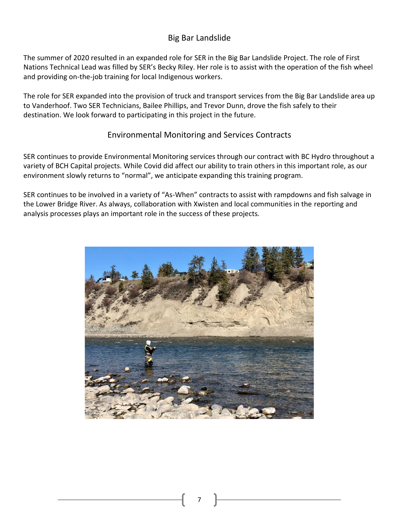#### Big Bar Landslide

The summer of 2020 resulted in an expanded role for SER in the Big Bar Landslide Project. The role of First Nations Technical Lead was filled by SER's Becky Riley. Her role is to assist with the operation of the fish wheel and providing on-the-job training for local Indigenous workers.

The role for SER expanded into the provision of truck and transport services from the Big Bar Landslide area up to Vanderhoof. Two SER Technicians, Bailee Phillips, and Trevor Dunn, drove the fish safely to their destination. We look forward to participating in this project in the future.

#### Environmental Monitoring and Services Contracts

SER continues to provide Environmental Monitoring services through our contract with BC Hydro throughout a variety of BCH Capital projects. While Covid did affect our ability to train others in this important role, as our environment slowly returns to "normal", we anticipate expanding this training program.

SER continues to be involved in a variety of "As-When" contracts to assist with rampdowns and fish salvage in the Lower Bridge River. As always, collaboration with Xwisten and local communities in the reporting and analysis processes plays an important role in the success of these projects.

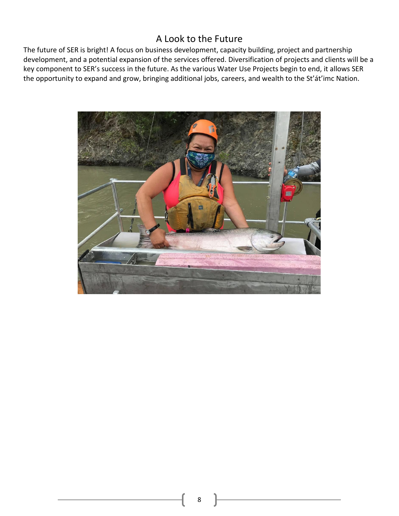### A Look to the Future

The future of SER is bright! A focus on business development, capacity building, project and partnership development, and a potential expansion of the services offered. Diversification of projects and clients will be a key component to SER's success in the future. As the various Water Use Projects begin to end, it allows SER the opportunity to expand and grow, bringing additional jobs, careers, and wealth to the St'át'imc Nation.

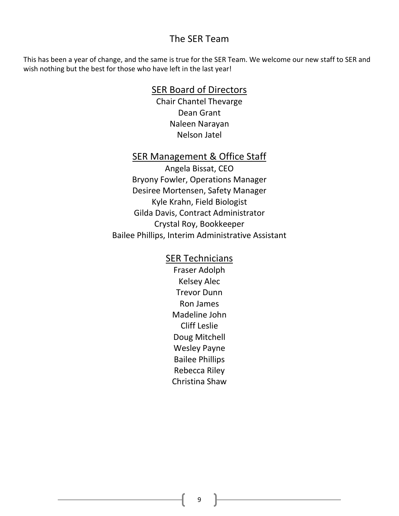#### The SER Team

This has been a year of change, and the same is true for the SER Team. We welcome our new staff to SER and wish nothing but the best for those who have left in the last year!

#### SER Board of Directors

Chair Chantel Thevarge Dean Grant Naleen Narayan Nelson Jatel

#### SER Management & Office Staff

Angela Bissat, CEO Bryony Fowler, Operations Manager Desiree Mortensen, Safety Manager Kyle Krahn, Field Biologist Gilda Davis, Contract Administrator Crystal Roy, Bookkeeper Bailee Phillips, Interim Administrative Assistant

#### SER Technicians

Fraser Adolph Kelsey Alec Trevor Dunn Ron James Madeline John Cliff Leslie Doug Mitchell Wesley Payne Bailee Phillips Rebecca Riley Christina Shaw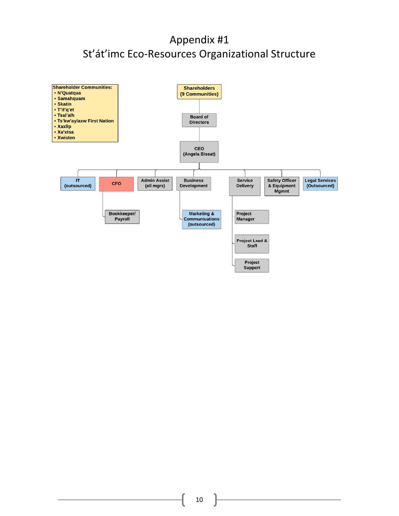# Appendix #1 St'át'imc Eco-Resources Organizational Structure